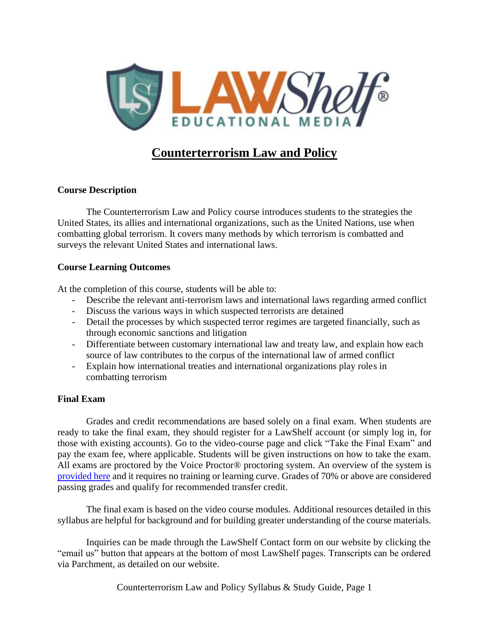

# **Counterterrorism Law and Policy**

### **Course Description**

The Counterterrorism Law and Policy course introduces students to the strategies the United States, its allies and international organizations, such as the United Nations, use when combatting global terrorism. It covers many methods by which terrorism is combatted and surveys the relevant United States and international laws.

#### **Course Learning Outcomes**

At the completion of this course, students will be able to:

- Describe the relevant anti-terrorism laws and international laws regarding armed conflict
- Discuss the various ways in which suspected terrorists are detained
- Detail the processes by which suspected terror regimes are targeted financially, such as through economic sanctions and litigation
- Differentiate between customary international law and treaty law, and explain how each source of law contributes to the corpus of the international law of armed conflict
- Explain how international treaties and international organizations play roles in combatting terrorism

### **Final Exam**

Grades and credit recommendations are based solely on a final exam. When students are ready to take the final exam, they should register for a LawShelf account (or simply log in, for those with existing accounts). Go to the video-course page and click "Take the Final Exam" and pay the exam fee, where applicable. Students will be given instructions on how to take the exam. All exams are proctored by the Voice Proctor<sup>®</sup> proctoring system. An overview of the system is [provided here](https://lawshelf.com/voiceproctorvideo) and it requires no training or learning curve. Grades of 70% or above are considered passing grades and qualify for recommended transfer credit.

The final exam is based on the video course modules. Additional resources detailed in this syllabus are helpful for background and for building greater understanding of the course materials.

Inquiries can be made through the LawShelf Contact form on our website by clicking the "email us" button that appears at the bottom of most LawShelf pages. Transcripts can be ordered via Parchment, as detailed on our website.

Counterterrorism Law and Policy Syllabus & Study Guide, Page 1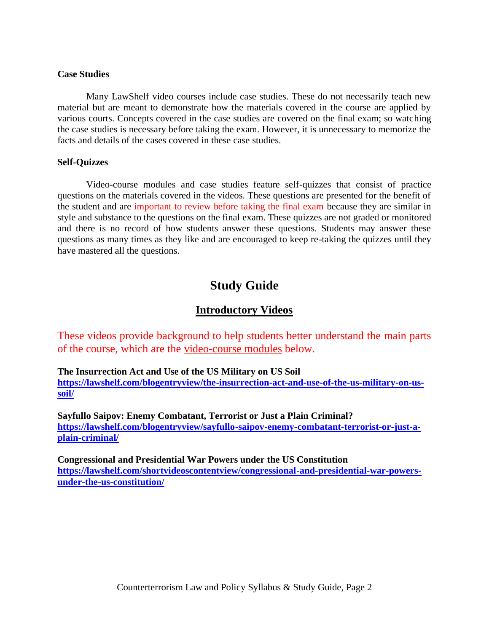#### **Case Studies**

Many LawShelf video courses include case studies. These do not necessarily teach new material but are meant to demonstrate how the materials covered in the course are applied by various courts. Concepts covered in the case studies are covered on the final exam; so watching the case studies is necessary before taking the exam. However, it is unnecessary to memorize the facts and details of the cases covered in these case studies.

#### **Self-Quizzes**

Video-course modules and case studies feature self-quizzes that consist of practice questions on the materials covered in the videos. These questions are presented for the benefit of the student and are important to review before taking the final exam because they are similar in style and substance to the questions on the final exam. These quizzes are not graded or monitored and there is no record of how students answer these questions. Students may answer these questions as many times as they like and are encouraged to keep re-taking the quizzes until they have mastered all the questions.

# **Study Guide**

## **Introductory Videos**

These videos provide background to help students better understand the main parts of the course, which are the video-course modules below.

**The Insurrection Act and Use of the US Military on US Soil [https://lawshelf.com/blogentryview/the-insurrection-act-and-use-of-the-us-military-on-us](https://lawshelf.com/blogentryview/the-insurrection-act-and-use-of-the-us-military-on-us-soil/)[soil/](https://lawshelf.com/blogentryview/the-insurrection-act-and-use-of-the-us-military-on-us-soil/)**

**Sayfullo Saipov: Enemy Combatant, Terrorist or Just a Plain Criminal? [https://lawshelf.com/blogentryview/sayfullo-saipov-enemy-combatant-terrorist-or-just-a](https://lawshelf.com/blogentryview/sayfullo-saipov-enemy-combatant-terrorist-or-just-a-plain-criminal/)[plain-criminal/](https://lawshelf.com/blogentryview/sayfullo-saipov-enemy-combatant-terrorist-or-just-a-plain-criminal/)**

**Congressional and Presidential War Powers under the US Constitution [https://lawshelf.com/shortvideoscontentview/congressional-and-presidential-war-powers](https://lawshelf.com/shortvideoscontentview/congressional-and-presidential-war-powers-under-the-us-constitution/)[under-the-us-constitution/](https://lawshelf.com/shortvideoscontentview/congressional-and-presidential-war-powers-under-the-us-constitution/)**